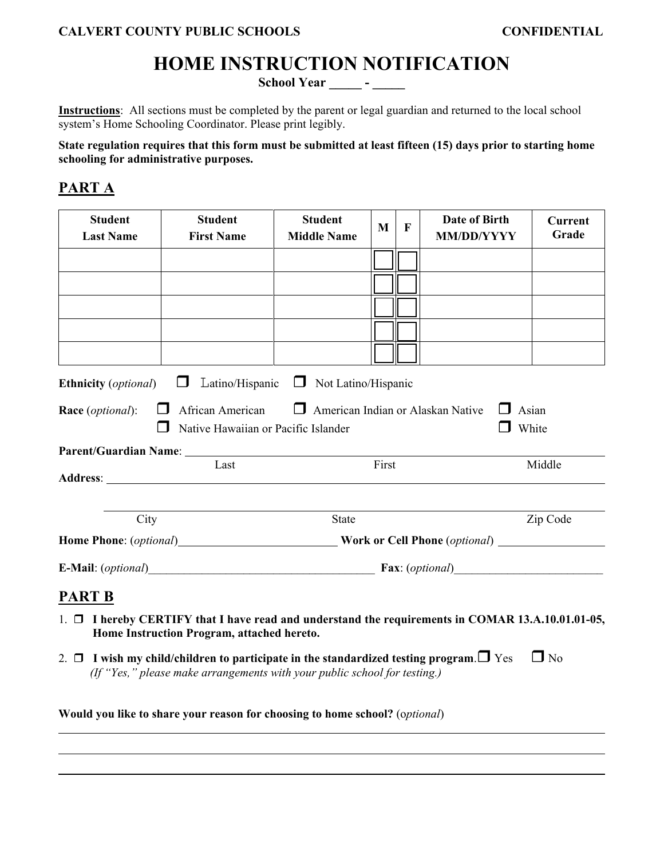# **HOME INSTRUCTION NOTIFICATION**

School Year \_\_\_\_\_\_ - \_\_\_\_\_

**Instructions**: All sections must be completed by the parent or legal guardian and returned to the local school system's Home Schooling Coordinator. Please print legibly.

**State regulation requires that this form must be submitted at least fifteen (15) days prior to starting home schooling for administrative purposes.** 

### **PART A**

 $\overline{a}$ 

| <b>Student</b><br><b>Last Name</b>   | <b>Student</b><br><b>First Name</b>                                                                            | <b>Student</b><br><b>Middle Name</b> | M     | F | <b>Date of Birth</b><br><b>MM/DD/YYYY</b> | <b>Current</b><br>Grade |
|--------------------------------------|----------------------------------------------------------------------------------------------------------------|--------------------------------------|-------|---|-------------------------------------------|-------------------------|
|                                      |                                                                                                                |                                      |       |   |                                           |                         |
|                                      |                                                                                                                |                                      |       |   |                                           |                         |
|                                      |                                                                                                                |                                      |       |   |                                           |                         |
|                                      |                                                                                                                |                                      |       |   |                                           |                         |
|                                      |                                                                                                                |                                      |       |   |                                           |                         |
| <b>Ethnicity</b> ( <i>optional</i> ) | Latino/Hispanic                                                                                                | Not Latino/Hispanic<br>$\Box$        |       |   |                                           |                         |
| Race (optional):                     | African American<br>American Indian or Alaskan Native<br>Asian<br>Native Hawaiian or Pacific Islander<br>White |                                      |       |   |                                           |                         |
|                                      |                                                                                                                |                                      |       |   |                                           |                         |
|                                      | Last                                                                                                           |                                      | First |   |                                           | Middle                  |
|                                      |                                                                                                                |                                      |       |   |                                           |                         |
| City                                 |                                                                                                                | <b>State</b>                         |       |   |                                           | Zip Code                |
|                                      |                                                                                                                |                                      |       |   |                                           |                         |
|                                      |                                                                                                                |                                      |       |   |                                           |                         |
| <b>PART B</b>                        |                                                                                                                |                                      |       |   |                                           |                         |

- 1. **I hereby CERTIFY that I have read and understand the requirements in COMAR 13.A.10.01.01-05, Home Instruction Program, attached hereto.**
- 2.  $\Box$  I wish my child/children to participate in the standardized testing program.  $\Box$  Yes  $\Box$  No  *(If "Yes," please make arrangements with your public school for testing.)*

**Would you like to share your reason for choosing to home school?** (o*ptional*)